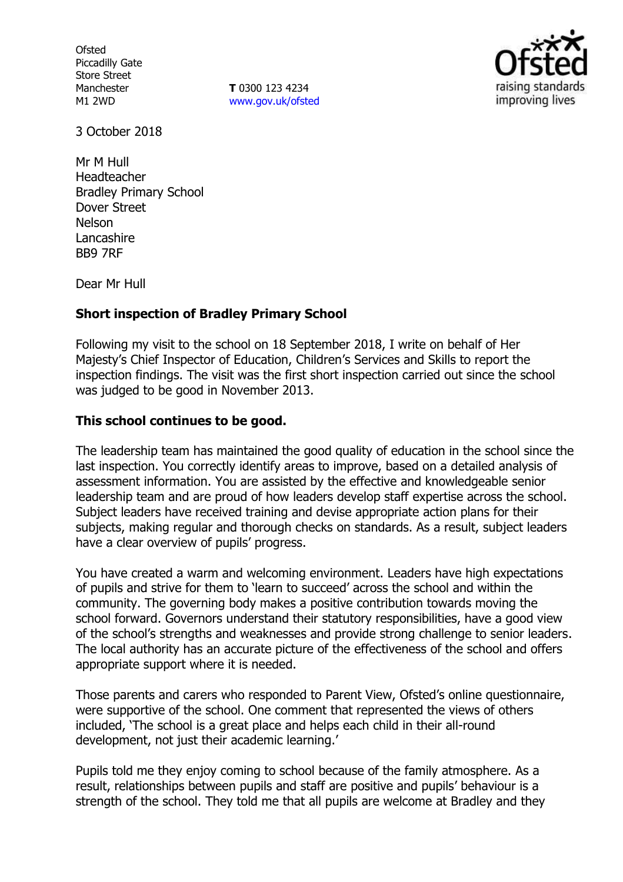**Ofsted** Piccadilly Gate Store Street Manchester M1 2WD

**T** 0300 123 4234 www.gov.uk/ofsted



3 October 2018

Mr M Hull Headteacher Bradley Primary School Dover Street Nelson **Lancashire** BB9 7RF

Dear Mr Hull

# **Short inspection of Bradley Primary School**

Following my visit to the school on 18 September 2018, I write on behalf of Her Majesty's Chief Inspector of Education, Children's Services and Skills to report the inspection findings. The visit was the first short inspection carried out since the school was judged to be good in November 2013.

## **This school continues to be good.**

The leadership team has maintained the good quality of education in the school since the last inspection. You correctly identify areas to improve, based on a detailed analysis of assessment information. You are assisted by the effective and knowledgeable senior leadership team and are proud of how leaders develop staff expertise across the school. Subject leaders have received training and devise appropriate action plans for their subjects, making regular and thorough checks on standards. As a result, subject leaders have a clear overview of pupils' progress.

You have created a warm and welcoming environment. Leaders have high expectations of pupils and strive for them to 'learn to succeed' across the school and within the community. The governing body makes a positive contribution towards moving the school forward. Governors understand their statutory responsibilities, have a good view of the school's strengths and weaknesses and provide strong challenge to senior leaders. The local authority has an accurate picture of the effectiveness of the school and offers appropriate support where it is needed.

Those parents and carers who responded to Parent View, Ofsted's online questionnaire, were supportive of the school. One comment that represented the views of others included, 'The school is a great place and helps each child in their all-round development, not just their academic learning.'

Pupils told me they enjoy coming to school because of the family atmosphere. As a result, relationships between pupils and staff are positive and pupils' behaviour is a strength of the school. They told me that all pupils are welcome at Bradley and they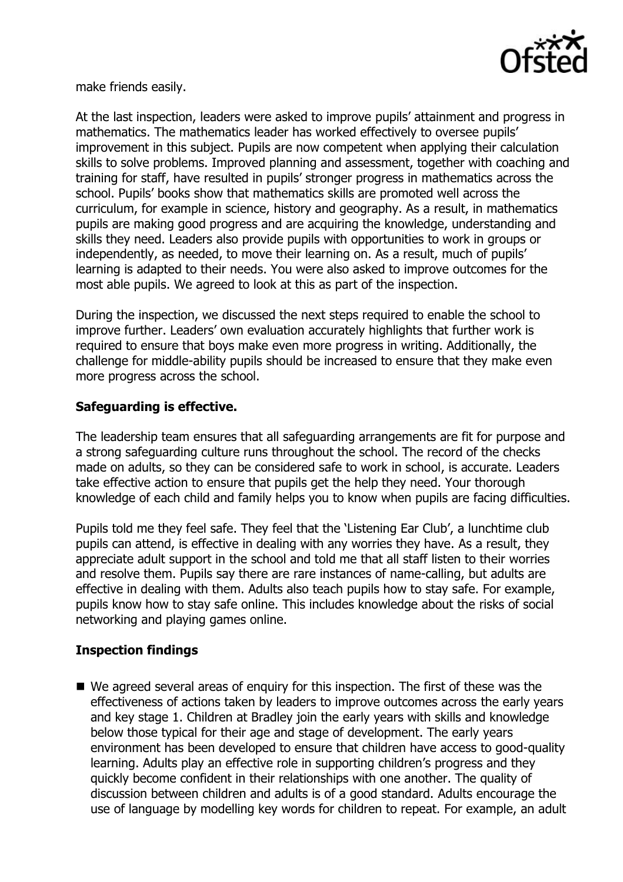

make friends easily.

At the last inspection, leaders were asked to improve pupils' attainment and progress in mathematics. The mathematics leader has worked effectively to oversee pupils' improvement in this subject. Pupils are now competent when applying their calculation skills to solve problems. Improved planning and assessment, together with coaching and training for staff, have resulted in pupils' stronger progress in mathematics across the school. Pupils' books show that mathematics skills are promoted well across the curriculum, for example in science, history and geography. As a result, in mathematics pupils are making good progress and are acquiring the knowledge, understanding and skills they need. Leaders also provide pupils with opportunities to work in groups or independently, as needed, to move their learning on. As a result, much of pupils' learning is adapted to their needs. You were also asked to improve outcomes for the most able pupils. We agreed to look at this as part of the inspection.

During the inspection, we discussed the next steps required to enable the school to improve further. Leaders' own evaluation accurately highlights that further work is required to ensure that boys make even more progress in writing. Additionally, the challenge for middle-ability pupils should be increased to ensure that they make even more progress across the school.

# **Safeguarding is effective.**

The leadership team ensures that all safeguarding arrangements are fit for purpose and a strong safeguarding culture runs throughout the school. The record of the checks made on adults, so they can be considered safe to work in school, is accurate. Leaders take effective action to ensure that pupils get the help they need. Your thorough knowledge of each child and family helps you to know when pupils are facing difficulties.

Pupils told me they feel safe. They feel that the 'Listening Ear Club', a lunchtime club pupils can attend, is effective in dealing with any worries they have. As a result, they appreciate adult support in the school and told me that all staff listen to their worries and resolve them. Pupils say there are rare instances of name-calling, but adults are effective in dealing with them. Adults also teach pupils how to stay safe. For example, pupils know how to stay safe online. This includes knowledge about the risks of social networking and playing games online.

# **Inspection findings**

 We agreed several areas of enquiry for this inspection. The first of these was the effectiveness of actions taken by leaders to improve outcomes across the early years and key stage 1. Children at Bradley join the early years with skills and knowledge below those typical for their age and stage of development. The early years environment has been developed to ensure that children have access to good-quality learning. Adults play an effective role in supporting children's progress and they quickly become confident in their relationships with one another. The quality of discussion between children and adults is of a good standard. Adults encourage the use of language by modelling key words for children to repeat. For example, an adult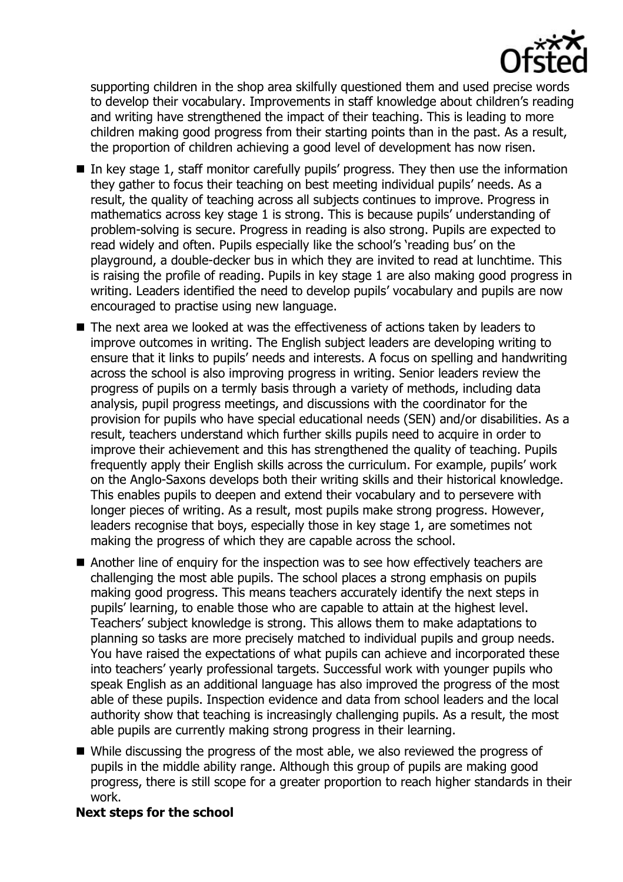

supporting children in the shop area skilfully questioned them and used precise words to develop their vocabulary. Improvements in staff knowledge about children's reading and writing have strengthened the impact of their teaching. This is leading to more children making good progress from their starting points than in the past. As a result, the proportion of children achieving a good level of development has now risen.

- $\blacksquare$  In key stage 1, staff monitor carefully pupils' progress. They then use the information they gather to focus their teaching on best meeting individual pupils' needs. As a result, the quality of teaching across all subjects continues to improve. Progress in mathematics across key stage 1 is strong. This is because pupils' understanding of problem-solving is secure. Progress in reading is also strong. Pupils are expected to read widely and often. Pupils especially like the school's 'reading bus' on the playground, a double-decker bus in which they are invited to read at lunchtime. This is raising the profile of reading. Pupils in key stage 1 are also making good progress in writing. Leaders identified the need to develop pupils' vocabulary and pupils are now encouraged to practise using new language.
- The next area we looked at was the effectiveness of actions taken by leaders to improve outcomes in writing. The English subject leaders are developing writing to ensure that it links to pupils' needs and interests. A focus on spelling and handwriting across the school is also improving progress in writing. Senior leaders review the progress of pupils on a termly basis through a variety of methods, including data analysis, pupil progress meetings, and discussions with the coordinator for the provision for pupils who have special educational needs (SEN) and/or disabilities. As a result, teachers understand which further skills pupils need to acquire in order to improve their achievement and this has strengthened the quality of teaching. Pupils frequently apply their English skills across the curriculum. For example, pupils' work on the Anglo-Saxons develops both their writing skills and their historical knowledge. This enables pupils to deepen and extend their vocabulary and to persevere with longer pieces of writing. As a result, most pupils make strong progress. However, leaders recognise that boys, especially those in key stage 1, are sometimes not making the progress of which they are capable across the school.
- Another line of enquiry for the inspection was to see how effectively teachers are challenging the most able pupils. The school places a strong emphasis on pupils making good progress. This means teachers accurately identify the next steps in pupils' learning, to enable those who are capable to attain at the highest level. Teachers' subject knowledge is strong. This allows them to make adaptations to planning so tasks are more precisely matched to individual pupils and group needs. You have raised the expectations of what pupils can achieve and incorporated these into teachers' yearly professional targets. Successful work with younger pupils who speak English as an additional language has also improved the progress of the most able of these pupils. Inspection evidence and data from school leaders and the local authority show that teaching is increasingly challenging pupils. As a result, the most able pupils are currently making strong progress in their learning.
- While discussing the progress of the most able, we also reviewed the progress of pupils in the middle ability range. Although this group of pupils are making good progress, there is still scope for a greater proportion to reach higher standards in their work.

## **Next steps for the school**